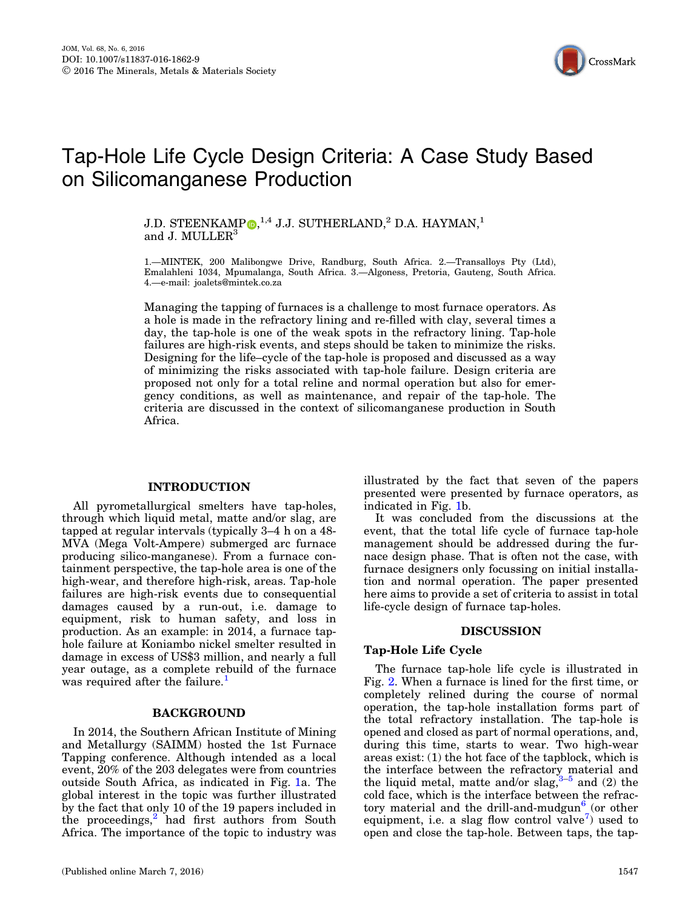

# Tap-Hole Life Cycle Design Criteria: A Case Study Based on Silicomanganese Production

# J.D. STEENKAM[P](http://orcid.org/0000-0003-0635-7927) $\text{\textcircled{{\textbf{0}}}},^{1,4}$  J.J. SUTHERLAND, $^2$  D.A. HAYMAN, $^1$ and J. MULLER<sup>3</sup>

1.—MINTEK, 200 Malibongwe Drive, Randburg, South Africa. 2.—Transalloys Pty (Ltd), Emalahleni 1034, Mpumalanga, South Africa. 3.—Algoness, Pretoria, Gauteng, South Africa. 4.—e-mail: joalets@mintek.co.za

Managing the tapping of furnaces is a challenge to most furnace operators. As a hole is made in the refractory lining and re-filled with clay, several times a day, the tap-hole is one of the weak spots in the refractory lining. Tap-hole failures are high-risk events, and steps should be taken to minimize the risks. Designing for the life–cycle of the tap-hole is proposed and discussed as a way of minimizing the risks associated with tap-hole failure. Design criteria are proposed not only for a total reline and normal operation but also for emergency conditions, as well as maintenance, and repair of the tap-hole. The criteria are discussed in the context of silicomanganese production in South Africa.

## INTRODUCTION

All pyrometallurgical smelters have tap-holes, through which liquid metal, matte and/or slag, are tapped at regular intervals (typically 3–4 h on a 48- MVA (Mega Volt-Ampere) submerged arc furnace producing silico-manganese). From a furnace containment perspective, the tap-hole area is one of the high-wear, and therefore high-risk, areas. Tap-hole failures are high-risk events due to consequential damages caused by a run-out, i.e. damage to equipment, risk to human safety, and loss in production. As an example: in 2014, a furnace taphole failure at Koniambo nickel smelter resulted in damage in excess of US\$3 million, and nearly a full year outage, as a complete rebuild of the furnace was required after the failure.<sup>[1](#page-8-0)</sup>

## BACKGROUND

In 2014, the Southern African Institute of Mining and Metallurgy (SAIMM) hosted the 1st Furnace Tapping conference. Although intended as a local event, 20% of the 203 delegates were from countries outside South Africa, as indicated in Fig. [1](#page-1-0)a. The global interest in the topic was further illustrated by the fact that only 10 of the 19 papers included in the proceedings, $\frac{2}{3}$  $\frac{2}{3}$  $\frac{2}{3}$  had first authors from South Africa. The importance of the topic to industry was illustrated by the fact that seven of the papers presented were presented by furnace operators, as indicated in Fig. [1](#page-1-0)b.

It was concluded from the discussions at the event, that the total life cycle of furnace tap-hole management should be addressed during the furnace design phase. That is often not the case, with furnace designers only focussing on initial installation and normal operation. The paper presented here aims to provide a set of criteria to assist in total life-cycle design of furnace tap-holes.

## DISCUSSION

#### Tap-Hole Life Cycle

The furnace tap-hole life cycle is illustrated in Fig. [2.](#page-1-0) When a furnace is lined for the first time, or completely relined during the course of normal operation, the tap-hole installation forms part of the total refractory installation. The tap-hole is opened and closed as part of normal operations, and, during this time, starts to wear. Two high-wear areas exist: (1) the hot face of the tapblock, which is the interface between the refractory material and the liquid metal, matte and/or slag,  $3-5$  and (2) the cold face, which is the interface between the refractory material and the drill-and-mudgun $6$  (or other equipment, i.e. a slag flow control valve<sup>[7](#page-8-0)</sup>) used to open and close the tap-hole. Between taps, the tap-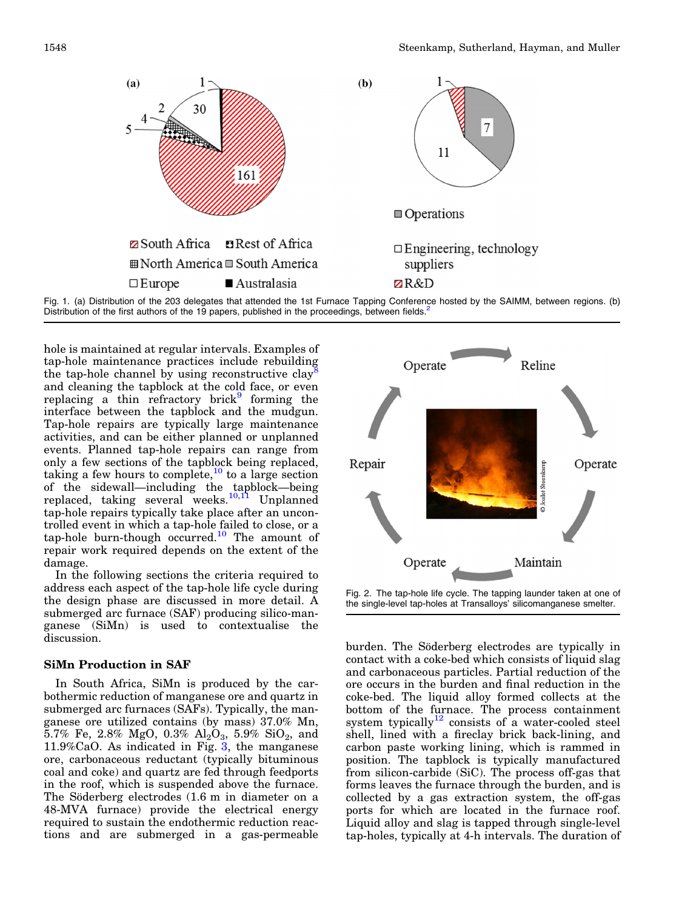<span id="page-1-0"></span>

hole is maintained at regular intervals. Examples of tap-hole maintenance practices include rebuilding the tap-hole channel by using reconstructive clay<sup>[8](#page-8-0)</sup> and cleaning the tapblock at the cold face, or even replacing a thin refractory brick $9$  forming the interface between the tapblock and the mudgun. Tap-hole repairs are typically large maintenance activities, and can be either planned or unplanned events. Planned tap-hole repairs can range from only a few sections of the tapblock being replaced, taking a few hours to complete,  $10$  to a large section of the sidewall—including the tapblock—being replaced, taking several weeks.<sup>[10,11](#page-8-0)</sup> Unplanned tap-hole repairs typically take place after an uncontrolled event in which a tap-hole failed to close, or a tap-hole burn-though occurred.<sup>[10](#page-8-0)</sup> The amount of repair work required depends on the extent of the damage.

In the following sections the criteria required to address each aspect of the tap-hole life cycle during the design phase are discussed in more detail. A submerged arc furnace (SAF) producing silico-manganese (SiMn) is used to contextualise the discussion.

#### SiMn Production in SAF

In South Africa, SiMn is produced by the carbothermic reduction of manganese ore and quartz in submerged arc furnaces (SAFs). Typically, the manganese ore utilized contains (by mass) 37.0% Mn,  $5.7\%$  Fe, 2.8% MgO, 0.3% Al<sub>2</sub>O<sub>3</sub>, 5.9% SiO<sub>2</sub>, and 11.9%CaO. As indicated in Fig. [3](#page-2-0), the manganese ore, carbonaceous reductant (typically bituminous coal and coke) and quartz are fed through feedports in the roof, which is suspended above the furnace. The Söderberg electrodes  $(1.6 \text{ m})$  in diameter on a 48-MVA furnace) provide the electrical energy required to sustain the endothermic reduction reactions and are submerged in a gas-permeable



Fig. 2. The tap-hole life cycle. The tapping launder taken at one of the single-level tap-holes at Transalloys' silicomanganese smelter.

burden. The Söderberg electrodes are typically in contact with a coke-bed which consists of liquid slag and carbonaceous particles. Partial reduction of the ore occurs in the burden and final reduction in the coke-bed. The liquid alloy formed collects at the bottom of the furnace. The process containment system typically<sup>[12](#page-8-0)</sup> consists of a water-cooled steel shell, lined with a fireclay brick back-lining, and carbon paste working lining, which is rammed in position. The tapblock is typically manufactured from silicon-carbide (SiC). The process off-gas that forms leaves the furnace through the burden, and is collected by a gas extraction system, the off-gas ports for which are located in the furnace roof. Liquid alloy and slag is tapped through single-level tap-holes, typically at 4-h intervals. The duration of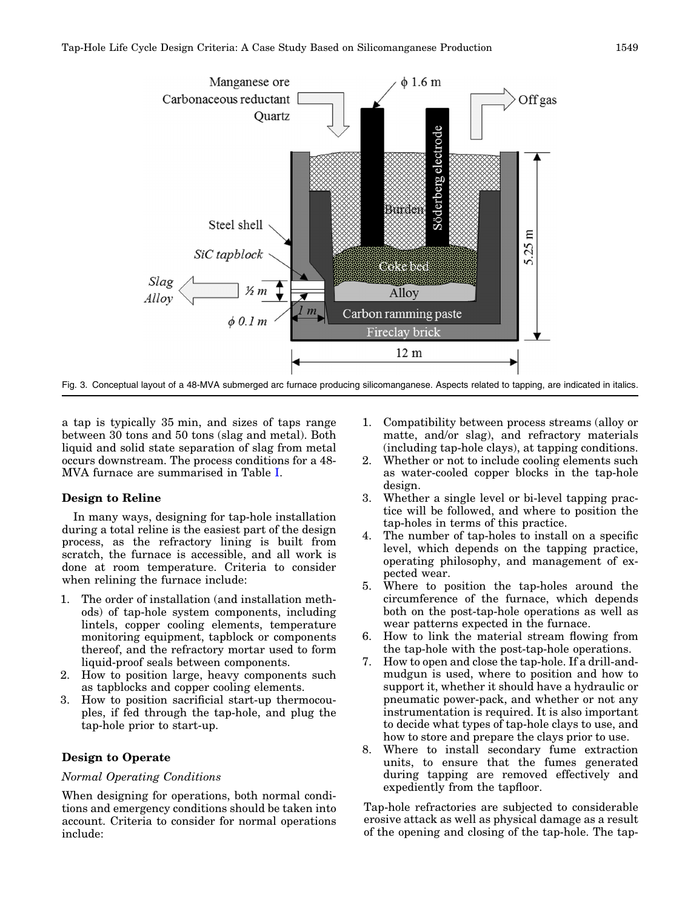<span id="page-2-0"></span>

Fig. 3. Conceptual layout of a 48-MVA submerged arc furnace producing silicomanganese. Aspects related to tapping, are indicated in italics.

a tap is typically 35 min, and sizes of taps range between 30 tons and 50 tons (slag and metal). Both liquid and solid state separation of slag from metal occurs downstream. The process conditions for a 48- MVA furnace are summarised in Table [I](#page-3-0).

## Design to Reline

In many ways, designing for tap-hole installation during a total reline is the easiest part of the design process, as the refractory lining is built from scratch, the furnace is accessible, and all work is done at room temperature. Criteria to consider when relining the furnace include:

- 1. The order of installation (and installation methods) of tap-hole system components, including lintels, copper cooling elements, temperature monitoring equipment, tapblock or components thereof, and the refractory mortar used to form liquid-proof seals between components.
- 2. How to position large, heavy components such as tapblocks and copper cooling elements.
- 3. How to position sacrificial start-up thermocouples, if fed through the tap-hole, and plug the tap-hole prior to start-up.

#### Design to Operate

#### Normal Operating Conditions

When designing for operations, both normal conditions and emergency conditions should be taken into account. Criteria to consider for normal operations include:

- 1. Compatibility between process streams (alloy or matte, and/or slag), and refractory materials (including tap-hole clays), at tapping conditions.
- 2. Whether or not to include cooling elements such as water-cooled copper blocks in the tap-hole design.
- 3. Whether a single level or bi-level tapping practice will be followed, and where to position the tap-holes in terms of this practice.
- 4. The number of tap-holes to install on a specific level, which depends on the tapping practice, operating philosophy, and management of expected wear.
- 5. Where to position the tap-holes around the circumference of the furnace, which depends both on the post-tap-hole operations as well as wear patterns expected in the furnace.
- 6. How to link the material stream flowing from the tap-hole with the post-tap-hole operations.
- 7. How to open and close the tap-hole. If a drill-andmudgun is used, where to position and how to support it, whether it should have a hydraulic or pneumatic power-pack, and whether or not any instrumentation is required. It is also important to decide what types of tap-hole clays to use, and how to store and prepare the clays prior to use.
- 8. Where to install secondary fume extraction units, to ensure that the fumes generated during tapping are removed effectively and expediently from the tapfloor.

Tap-hole refractories are subjected to considerable erosive attack as well as physical damage as a result of the opening and closing of the tap-hole. The tap-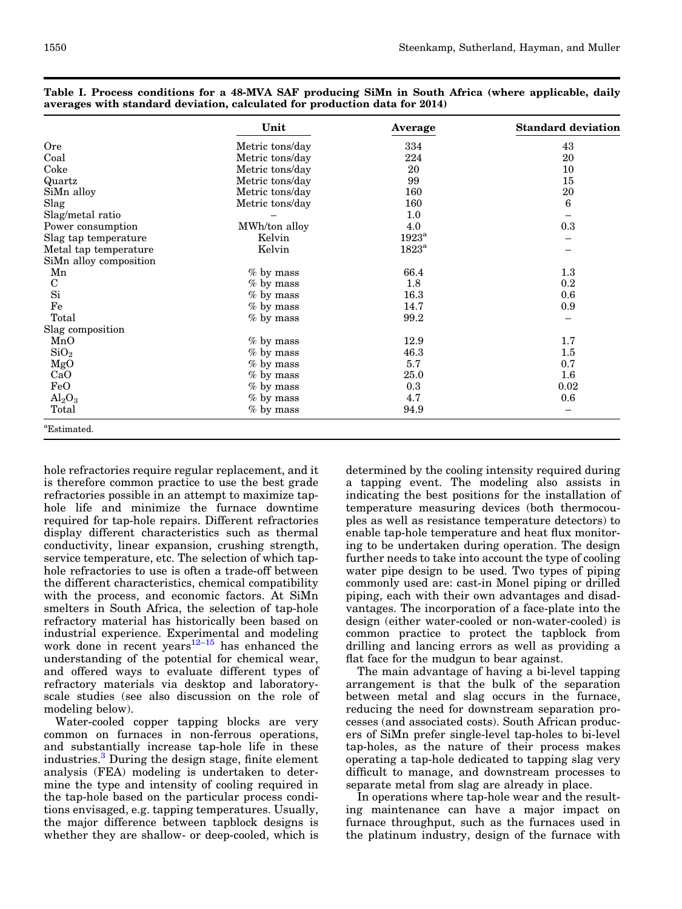|                                | Unit            | Average             | <b>Standard deviation</b> |
|--------------------------------|-----------------|---------------------|---------------------------|
| Ore                            | Metric tons/day | 334                 | 43                        |
| Coal                           | Metric tons/day | 224                 | 20                        |
| Coke                           | Metric tons/day | 20                  | 10                        |
| Quartz                         | Metric tons/day | 99                  | 15                        |
| SiMn alloy                     | Metric tons/day | 160                 | $20\,$                    |
| Slag                           | Metric tons/day | 160                 | $\,6\,$                   |
| Slag/metal ratio               |                 | 1.0                 | $\overline{\phantom{m}}$  |
| Power consumption              | MWh/ton alloy   | 4.0                 | $\rm 0.3$                 |
| Slag tap temperature           | Kelvin          | $1923^{\mathrm{a}}$ |                           |
| Metal tap temperature          | Kelvin          | $1823^{\rm a}$      |                           |
| SiMn alloy composition         |                 |                     |                           |
| Mn                             | $%$ by mass     | 66.4                | $1.3\,$                   |
| $\mathcal{C}$                  | $%$ by mass     | 1.8                 | 0.2                       |
| Si                             | $%$ by mass     | 16.3                | 0.6                       |
| Fe                             | $%$ by mass     | 14.7                | $0.9\,$                   |
| Total                          | $%$ by mass     | 99.2                |                           |
| Slag composition               |                 |                     |                           |
| MnO                            | $%$ by mass     | 12.9                | 1.7                       |
| SiO <sub>2</sub>               | $%$ by mass     | 46.3                | 1.5                       |
| MgO                            | $%$ by mass     | 5.7                 | 0.7                       |
| CaO                            | $%$ by mass     | 25.0                | 1.6                       |
| FeO                            | $%$ by mass     | 0.3                 | 0.02                      |
| Al <sub>2</sub> O <sub>3</sub> | $%$ by mass     | 4.7                 | 0.6                       |
| Total                          | $%$ by mass     | 94.9                |                           |
| <sup>a</sup> Estimated.        |                 |                     |                           |

<span id="page-3-0"></span>Table I. Process conditions for a 48-MVA SAF producing SiMn in South Africa (where applicable, daily averages with standard deviation, calculated for production data for 2014)

hole refractories require regular replacement, and it is therefore common practice to use the best grade refractories possible in an attempt to maximize taphole life and minimize the furnace downtime required for tap-hole repairs. Different refractories display different characteristics such as thermal conductivity, linear expansion, crushing strength, service temperature, etc. The selection of which taphole refractories to use is often a trade-off between the different characteristics, chemical compatibility with the process, and economic factors. At SiMn smelters in South Africa, the selection of tap-hole refractory material has historically been based on industrial experience. Experimental and modeling work done in recent years<sup>12-15</sup> has enhanced the understanding of the potential for chemical wear, and offered ways to evaluate different types of refractory materials via desktop and laboratoryscale studies (see also discussion on the role of modeling below).

Water-cooled copper tapping blocks are very common on furnaces in non-ferrous operations, and substantially increase tap-hole life in these industries.[3](#page-8-0) During the design stage, finite element analysis (FEA) modeling is undertaken to determine the type and intensity of cooling required in the tap-hole based on the particular process conditions envisaged, e.g. tapping temperatures. Usually, the major difference between tapblock designs is whether they are shallow- or deep-cooled, which is determined by the cooling intensity required during a tapping event. The modeling also assists in indicating the best positions for the installation of temperature measuring devices (both thermocouples as well as resistance temperature detectors) to enable tap-hole temperature and heat flux monitoring to be undertaken during operation. The design further needs to take into account the type of cooling water pipe design to be used. Two types of piping commonly used are: cast-in Monel piping or drilled piping, each with their own advantages and disadvantages. The incorporation of a face-plate into the design (either water-cooled or non-water-cooled) is common practice to protect the tapblock from drilling and lancing errors as well as providing a flat face for the mudgun to bear against.

The main advantage of having a bi-level tapping arrangement is that the bulk of the separation between metal and slag occurs in the furnace, reducing the need for downstream separation processes (and associated costs). South African producers of SiMn prefer single-level tap-holes to bi-level tap-holes, as the nature of their process makes operating a tap-hole dedicated to tapping slag very difficult to manage, and downstream processes to separate metal from slag are already in place.

In operations where tap-hole wear and the resulting maintenance can have a major impact on furnace throughput, such as the furnaces used in the platinum industry, design of the furnace with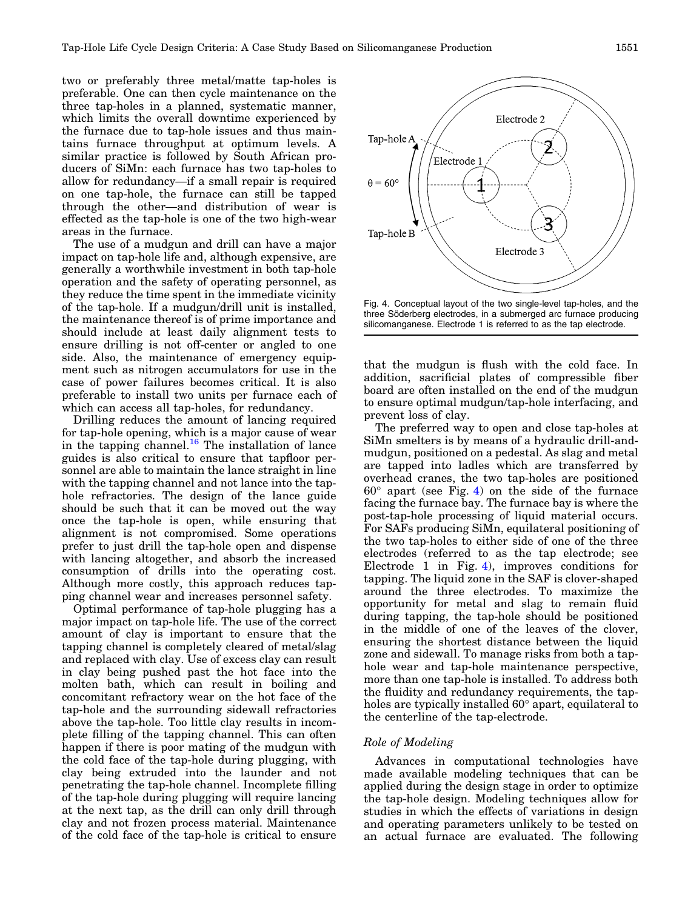two or preferably three metal/matte tap-holes is preferable. One can then cycle maintenance on the three tap-holes in a planned, systematic manner, which limits the overall downtime experienced by the furnace due to tap-hole issues and thus maintains furnace throughput at optimum levels. A similar practice is followed by South African producers of SiMn: each furnace has two tap-holes to allow for redundancy—if a small repair is required on one tap-hole, the furnace can still be tapped through the other—and distribution of wear is effected as the tap-hole is one of the two high-wear areas in the furnace.

The use of a mudgun and drill can have a major impact on tap-hole life and, although expensive, are generally a worthwhile investment in both tap-hole operation and the safety of operating personnel, as they reduce the time spent in the immediate vicinity of the tap-hole. If a mudgun/drill unit is installed, the maintenance thereof is of prime importance and should include at least daily alignment tests to ensure drilling is not off-center or angled to one side. Also, the maintenance of emergency equipment such as nitrogen accumulators for use in the case of power failures becomes critical. It is also preferable to install two units per furnace each of which can access all tap-holes, for redundancy.

Drilling reduces the amount of lancing required for tap-hole opening, which is a major cause of wear in the tapping channel.<sup>[16](#page-8-0)</sup> The installation of lance guides is also critical to ensure that tapfloor personnel are able to maintain the lance straight in line with the tapping channel and not lance into the taphole refractories. The design of the lance guide should be such that it can be moved out the way once the tap-hole is open, while ensuring that alignment is not compromised. Some operations prefer to just drill the tap-hole open and dispense with lancing altogether, and absorb the increased consumption of drills into the operating cost. Although more costly, this approach reduces tapping channel wear and increases personnel safety.

Optimal performance of tap-hole plugging has a major impact on tap-hole life. The use of the correct amount of clay is important to ensure that the tapping channel is completely cleared of metal/slag and replaced with clay. Use of excess clay can result in clay being pushed past the hot face into the molten bath, which can result in boiling and concomitant refractory wear on the hot face of the tap-hole and the surrounding sidewall refractories above the tap-hole. Too little clay results in incomplete filling of the tapping channel. This can often happen if there is poor mating of the mudgun with the cold face of the tap-hole during plugging, with clay being extruded into the launder and not penetrating the tap-hole channel. Incomplete filling of the tap-hole during plugging will require lancing at the next tap, as the drill can only drill through clay and not frozen process material. Maintenance of the cold face of the tap-hole is critical to ensure



Fig. 4. Conceptual layout of the two single-level tap-holes, and the three Söderberg electrodes, in a submerged arc furnace producing silicomanganese. Electrode 1 is referred to as the tap electrode.

that the mudgun is flush with the cold face. In addition, sacrificial plates of compressible fiber board are often installed on the end of the mudgun to ensure optimal mudgun/tap-hole interfacing, and prevent loss of clay.

The preferred way to open and close tap-holes at SiMn smelters is by means of a hydraulic drill-andmudgun, positioned on a pedestal. As slag and metal are tapped into ladles which are transferred by overhead cranes, the two tap-holes are positioned  $60^\circ$  apart (see Fig. 4) on the side of the furnace facing the furnace bay. The furnace bay is where the post-tap-hole processing of liquid material occurs. For SAFs producing SiMn, equilateral positioning of the two tap-holes to either side of one of the three electrodes (referred to as the tap electrode; see Electrode 1 in Fig. 4), improves conditions for tapping. The liquid zone in the SAF is clover-shaped around the three electrodes. To maximize the opportunity for metal and slag to remain fluid during tapping, the tap-hole should be positioned in the middle of one of the leaves of the clover, ensuring the shortest distance between the liquid zone and sidewall. To manage risks from both a taphole wear and tap-hole maintenance perspective, more than one tap-hole is installed. To address both the fluidity and redundancy requirements, the tapholes are typically installed  $60^{\circ}$  apart, equilateral to the centerline of the tap-electrode.

#### Role of Modeling

Advances in computational technologies have made available modeling techniques that can be applied during the design stage in order to optimize the tap-hole design. Modeling techniques allow for studies in which the effects of variations in design and operating parameters unlikely to be tested on an actual furnace are evaluated. The following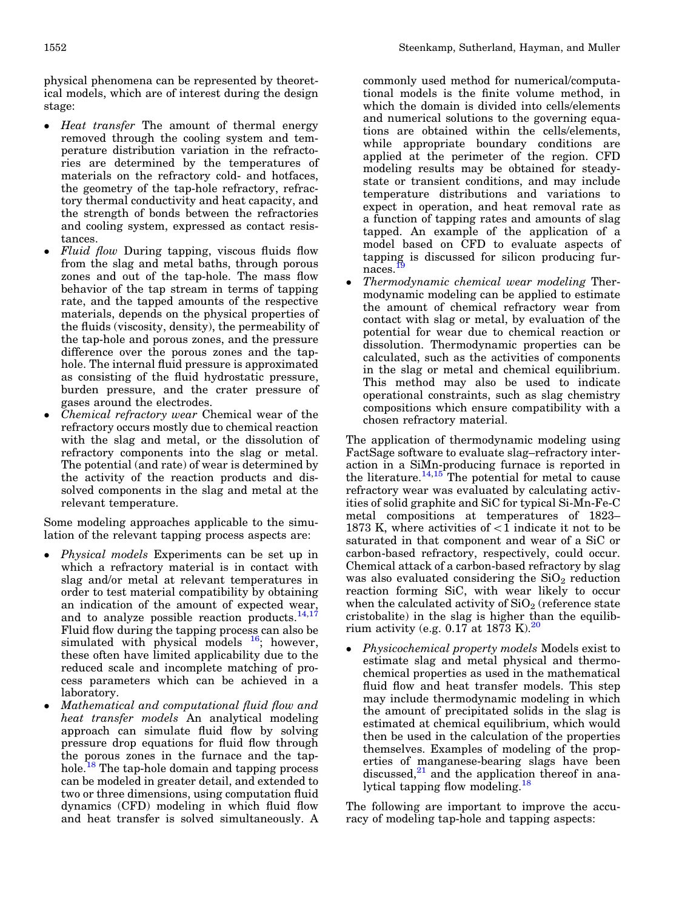physical phenomena can be represented by theoretical models, which are of interest during the design stage:

- $\bullet$  Heat transfer The amount of thermal energy removed through the cooling system and temperature distribution variation in the refractories are determined by the temperatures of materials on the refractory cold- and hotfaces, the geometry of the tap-hole refractory, refractory thermal conductivity and heat capacity, and the strength of bonds between the refractories and cooling system, expressed as contact resistances.
- $\bullet$  Fluid flow During tapping, viscous fluids flow from the slag and metal baths, through porous zones and out of the tap-hole. The mass flow behavior of the tap stream in terms of tapping rate, and the tapped amounts of the respective materials, depends on the physical properties of the fluids (viscosity, density), the permeability of the tap-hole and porous zones, and the pressure difference over the porous zones and the taphole. The internal fluid pressure is approximated as consisting of the fluid hydrostatic pressure, burden pressure, and the crater pressure of gases around the electrodes.
- $\bullet$  Chemical refractory wear Chemical wear of the refractory occurs mostly due to chemical reaction with the slag and metal, or the dissolution of refractory components into the slag or metal. The potential (and rate) of wear is determined by the activity of the reaction products and dissolved components in the slag and metal at the relevant temperature.

Some modeling approaches applicable to the simulation of the relevant tapping process aspects are:

- $\bullet$  Physical models Experiments can be set up in which a refractory material is in contact with slag and/or metal at relevant temperatures in order to test material compatibility by obtaining an indication of the amount of expected wear, and to analyze possible reaction products.  $14,17$ Fluid flow during the tapping process can also be simulated with physical models  $^{16}$  $^{16}$  $^{16}$ ; however, these often have limited applicability due to the reduced scale and incomplete matching of process parameters which can be achieved in a laboratory.
- $\bullet$  Mathematical and computational fluid flow and heat transfer models An analytical modeling approach can simulate fluid flow by solving pressure drop equations for fluid flow through the porous zones in the furnace and the tap-hole.<sup>[18](#page-8-0)</sup> The tap-hole domain and tapping process can be modeled in greater detail, and extended to two or three dimensions, using computation fluid dynamics (CFD) modeling in which fluid flow and heat transfer is solved simultaneously. A

commonly used method for numerical/computational models is the finite volume method, in which the domain is divided into cells/elements and numerical solutions to the governing equations are obtained within the cells/elements, while appropriate boundary conditions are applied at the perimeter of the region. CFD modeling results may be obtained for steadystate or transient conditions, and may include temperature distributions and variations to expect in operation, and heat removal rate as a function of tapping rates and amounts of slag tapped. An example of the application of a model based on CFD to evaluate aspects of tapping is discussed for silicon producing furnaces.

 $\bullet$  Thermodynamic chemical wear modeling Thermodynamic modeling can be applied to estimate the amount of chemical refractory wear from contact with slag or metal, by evaluation of the potential for wear due to chemical reaction or dissolution. Thermodynamic properties can be calculated, such as the activities of components in the slag or metal and chemical equilibrium. This method may also be used to indicate operational constraints, such as slag chemistry compositions which ensure compatibility with a chosen refractory material.

The application of thermodynamic modeling using FactSage software to evaluate slag–refractory interaction in a SiMn-producing furnace is reported in the literature.<sup>[14](#page-8-0),[15](#page-8-0)</sup> The potential for metal to cause refractory wear was evaluated by calculating activities of solid graphite and SiC for typical Si-Mn-Fe-C metal compositions at temperatures of 1823– 1873 K, where activities of  $<$ 1 indicate it not to be saturated in that component and wear of a SiC or carbon-based refractory, respectively, could occur. Chemical attack of a carbon-based refractory by slag was also evaluated considering the  $SiO<sub>2</sub>$  reduction reaction forming SiC, with wear likely to occur when the calculated activity of  $SiO<sub>2</sub>$  (reference state cristobalite) in the slag is higher than the equilib-rium activity (e.g. 0.17 at 1873 K).<sup>[20](#page-8-0)</sup>

 $\bullet$  Physicochemical property models Models exist to estimate slag and metal physical and thermochemical properties as used in the mathematical fluid flow and heat transfer models. This step may include thermodynamic modeling in which the amount of precipitated solids in the slag is estimated at chemical equilibrium, which would then be used in the calculation of the properties themselves. Examples of modeling of the properties of manganese-bearing slags have been discussed,<sup>[21](#page-8-0)</sup> and the application thereof in ana-lytical tapping flow modeling.<sup>[18](#page-8-0)</sup>

The following are important to improve the accuracy of modeling tap-hole and tapping aspects: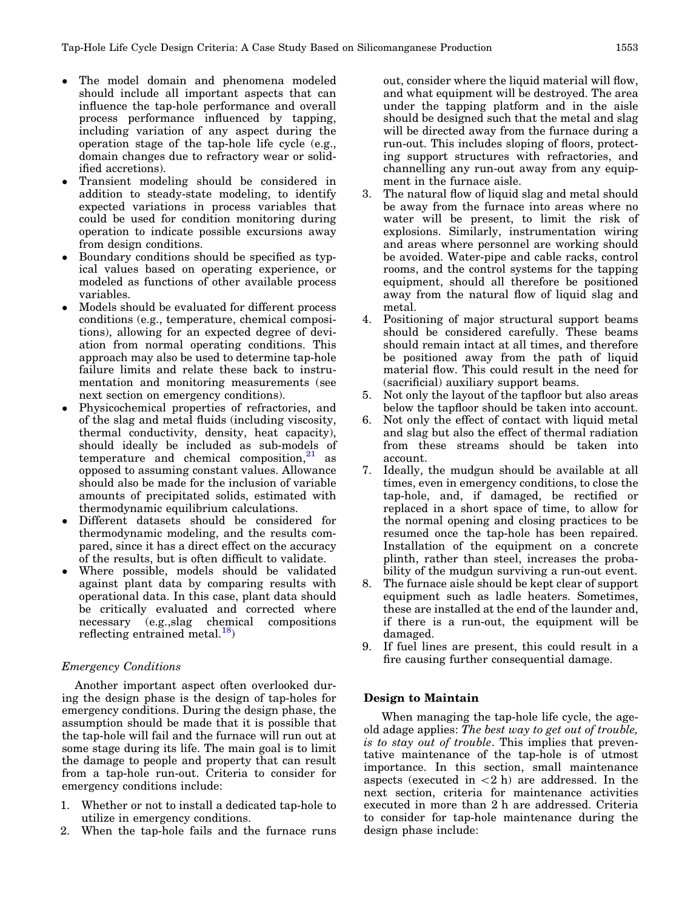- $\bullet$  The model domain and phenomena modeled should include all important aspects that can influence the tap-hole performance and overall process performance influenced by tapping, including variation of any aspect during the operation stage of the tap-hole life cycle (e.g., domain changes due to refractory wear or solidified accretions).
- $\bullet$  Transient modeling should be considered in addition to steady-state modeling, to identify expected variations in process variables that could be used for condition monitoring during operation to indicate possible excursions away from design conditions.
- $\bullet$  Boundary conditions should be specified as typical values based on operating experience, or modeled as functions of other available process variables.
- $\bullet$  Models should be evaluated for different process conditions (e.g., temperature, chemical compositions), allowing for an expected degree of deviation from normal operating conditions. This approach may also be used to determine tap-hole failure limits and relate these back to instrumentation and monitoring measurements (see next section on emergency conditions).
- $\bullet$  Physicochemical properties of refractories, and of the slag and metal fluids (including viscosity, thermal conductivity, density, heat capacity), should ideally be included as sub-models of temperature and chemical composition, $2<sup>1</sup>$  as opposed to assuming constant values. Allowance should also be made for the inclusion of variable amounts of precipitated solids, estimated with thermodynamic equilibrium calculations.
- $\bullet$  Different datasets should be considered for thermodynamic modeling, and the results compared, since it has a direct effect on the accuracy of the results, but is often difficult to validate.
- $\bullet$  Where possible, models should be validated against plant data by comparing results with operational data. In this case, plant data should be critically evaluated and corrected where necessary (e.g.,slag chemical compositions reflecting entrained metal. $^{18}$  $^{18}$  $^{18}$ )

## Emergency Conditions

Another important aspect often overlooked during the design phase is the design of tap-holes for emergency conditions. During the design phase, the assumption should be made that it is possible that the tap-hole will fail and the furnace will run out at some stage during its life. The main goal is to limit the damage to people and property that can result from a tap-hole run-out. Criteria to consider for emergency conditions include:

- 1. Whether or not to install a dedicated tap-hole to utilize in emergency conditions.
- 2. When the tap-hole fails and the furnace runs

out, consider where the liquid material will flow, and what equipment will be destroyed. The area under the tapping platform and in the aisle should be designed such that the metal and slag will be directed away from the furnace during a run-out. This includes sloping of floors, protecting support structures with refractories, and channelling any run-out away from any equipment in the furnace aisle.

- 3. The natural flow of liquid slag and metal should be away from the furnace into areas where no water will be present, to limit the risk of explosions. Similarly, instrumentation wiring and areas where personnel are working should be avoided. Water-pipe and cable racks, control rooms, and the control systems for the tapping equipment, should all therefore be positioned away from the natural flow of liquid slag and metal.
- 4. Positioning of major structural support beams should be considered carefully. These beams should remain intact at all times, and therefore be positioned away from the path of liquid material flow. This could result in the need for (sacrificial) auxiliary support beams.
- 5. Not only the layout of the tapfloor but also areas below the tapfloor should be taken into account.
- Not only the effect of contact with liquid metal and slag but also the effect of thermal radiation from these streams should be taken into account.
- 7. Ideally, the mudgun should be available at all times, even in emergency conditions, to close the tap-hole, and, if damaged, be rectified or replaced in a short space of time, to allow for the normal opening and closing practices to be resumed once the tap-hole has been repaired. Installation of the equipment on a concrete plinth, rather than steel, increases the probability of the mudgun surviving a run-out event.
- 8. The furnace aisle should be kept clear of support equipment such as ladle heaters. Sometimes, these are installed at the end of the launder and, if there is a run-out, the equipment will be damaged.
- 9. If fuel lines are present, this could result in a fire causing further consequential damage.

## Design to Maintain

When managing the tap-hole life cycle, the ageold adage applies: The best way to get out of trouble, is to stay out of trouble. This implies that preventative maintenance of the tap-hole is of utmost importance. In this section, small maintenance aspects (executed in  $\langle 2 \text{ h} \rangle$  are addressed. In the next section, criteria for maintenance activities executed in more than 2 h are addressed. Criteria to consider for tap-hole maintenance during the design phase include: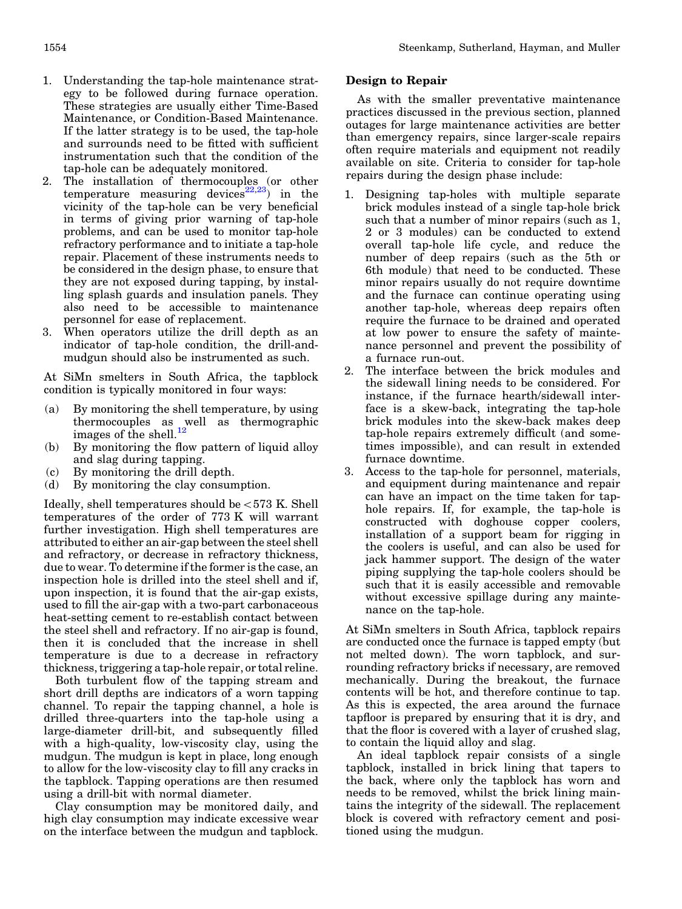- 1. Understanding the tap-hole maintenance strategy to be followed during furnace operation. These strategies are usually either Time-Based Maintenance, or Condition-Based Maintenance. If the latter strategy is to be used, the tap-hole and surrounds need to be fitted with sufficient instrumentation such that the condition of the tap-hole can be adequately monitored.
- 2. The installation of thermocouples (or other temperature measuring devices $^{22,23)}$  $^{22,23)}$  $^{22,23)}$  in the vicinity of the tap-hole can be very beneficial in terms of giving prior warning of tap-hole problems, and can be used to monitor tap-hole refractory performance and to initiate a tap-hole repair. Placement of these instruments needs to be considered in the design phase, to ensure that they are not exposed during tapping, by installing splash guards and insulation panels. They also need to be accessible to maintenance personnel for ease of replacement.
- 3. When operators utilize the drill depth as an indicator of tap-hole condition, the drill-andmudgun should also be instrumented as such.

At SiMn smelters in South Africa, the tapblock condition is typically monitored in four ways:

- (a) By monitoring the shell temperature, by using thermocouples as well as thermographic images of the shell.<sup>[12](#page-8-0)</sup>
- (b) By monitoring the flow pattern of liquid alloy and slag during tapping.
- (c) By monitoring the drill depth.
- (d) By monitoring the clay consumption.

Ideally, shell temperatures should be<573 K. Shell temperatures of the order of 773 K will warrant further investigation. High shell temperatures are attributed to either an air-gap between the steel shell and refractory, or decrease in refractory thickness, due to wear. To determine if the former is the case, an inspection hole is drilled into the steel shell and if, upon inspection, it is found that the air-gap exists, used to fill the air-gap with a two-part carbonaceous heat-setting cement to re-establish contact between the steel shell and refractory. If no air-gap is found, then it is concluded that the increase in shell temperature is due to a decrease in refractory thickness, triggering a tap-hole repair, or total reline.

Both turbulent flow of the tapping stream and short drill depths are indicators of a worn tapping channel. To repair the tapping channel, a hole is drilled three-quarters into the tap-hole using a large-diameter drill-bit, and subsequently filled with a high-quality, low-viscosity clay, using the mudgun. The mudgun is kept in place, long enough to allow for the low-viscosity clay to fill any cracks in the tapblock. Tapping operations are then resumed using a drill-bit with normal diameter.

Clay consumption may be monitored daily, and high clay consumption may indicate excessive wear on the interface between the mudgun and tapblock.

## Design to Repair

As with the smaller preventative maintenance practices discussed in the previous section, planned outages for large maintenance activities are better than emergency repairs, since larger-scale repairs often require materials and equipment not readily available on site. Criteria to consider for tap-hole repairs during the design phase include:

- 1. Designing tap-holes with multiple separate brick modules instead of a single tap-hole brick such that a number of minor repairs (such as 1, 2 or 3 modules) can be conducted to extend overall tap-hole life cycle, and reduce the number of deep repairs (such as the 5th or 6th module) that need to be conducted. These minor repairs usually do not require downtime and the furnace can continue operating using another tap-hole, whereas deep repairs often require the furnace to be drained and operated at low power to ensure the safety of maintenance personnel and prevent the possibility of a furnace run-out.
- 2. The interface between the brick modules and the sidewall lining needs to be considered. For instance, if the furnace hearth/sidewall interface is a skew-back, integrating the tap-hole brick modules into the skew-back makes deep tap-hole repairs extremely difficult (and sometimes impossible), and can result in extended furnace downtime.
- 3. Access to the tap-hole for personnel, materials, and equipment during maintenance and repair can have an impact on the time taken for taphole repairs. If, for example, the tap-hole is constructed with doghouse copper coolers, installation of a support beam for rigging in the coolers is useful, and can also be used for jack hammer support. The design of the water piping supplying the tap-hole coolers should be such that it is easily accessible and removable without excessive spillage during any maintenance on the tap-hole.

At SiMn smelters in South Africa, tapblock repairs are conducted once the furnace is tapped empty (but not melted down). The worn tapblock, and surrounding refractory bricks if necessary, are removed mechanically. During the breakout, the furnace contents will be hot, and therefore continue to tap. As this is expected, the area around the furnace tapfloor is prepared by ensuring that it is dry, and that the floor is covered with a layer of crushed slag, to contain the liquid alloy and slag.

An ideal tapblock repair consists of a single tapblock, installed in brick lining that tapers to the back, where only the tapblock has worn and needs to be removed, whilst the brick lining maintains the integrity of the sidewall. The replacement block is covered with refractory cement and positioned using the mudgun.